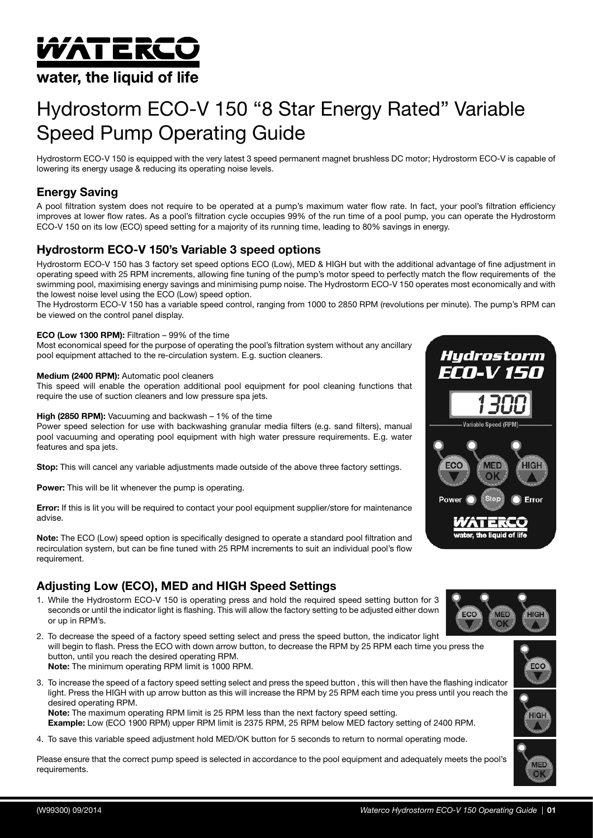# *W*ATERCO

# water, the liquid of life

# Hydrostorm ECO-V 150 "8 Star Energy Rated" Variable Speed Pump Operating Guide

Hydrostorm ECO-V 150 is equipped with the very latest 3 speed permanent magnet brushless DC motor; Hydrostorm ECO-V is capable of lowering its energy usage & reducing its operating noise levels.

# Energy Saving

A pool filtration system does not require to be operated at a pump's maximum water flow rate. In fact, your pool's filtration efficiency improves at lower flow rates. As a pool's filtration cycle occupies 99% of the run time of a pool pump, you can operate the Hydrostorm ECO-V 150 on its low (ECO) speed setting for a majority of its running time, leading to 80% savings in energy.

# Hydrostorm ECO-V 150's Variable 3 speed options

Hydrostorm ECO-V 150 has 3 factory set speed options ECO (Low), MED & HIGH but with the additional advantage of fine adjustment in operating speed with 25 RPM increments, allowing fine tuning of the pump's motor speed to perfectly match the flow requirements of the swimming pool, maximising energy savings and minimising pump noise. The Hydrostorm ECO-V 150 operates most economically and with the lowest noise level using the ECO (Low) speed option.

The Hydrostorm ECO-V 150 has a variable speed control, ranging from 1000 to 2850 RPM (revolutions per minute). The pump's RPM can be viewed on the control panel display.

#### ECO (Low 1300 RPM): Filtration – 99% of the time

Most economical speed for the purpose of operating the pool's filtration system without any ancillary pool equipment attached to the re-circulation system. E.g. suction cleaners.

#### Medium (2400 RPM): Automatic pool cleaners

This speed will enable the operation additional pool equipment for pool cleaning functions that require the use of suction cleaners and low pressure spa jets.

#### High (2850 RPM): Vacuuming and backwash – 1% of the time

Power speed selection for use with backwashing granular media filters (e.g. sand filters), manual pool vacuuming and operating pool equipment with high water pressure requirements. E.g. water features and spa jets.

Stop: This will cancel any variable adjustments made outside of the above three factory settings.

**Power:** This will be lit whenever the pump is operating.

Error: If this is lit you will be required to contact your pool equipment supplier/store for maintenance advise.

Note: The ECO (Low) speed option is specifically designed to operate a standard pool filtration and recirculation system, but can be fine tuned with 25 RPM increments to suit an individual pool's flow requirement.

# Adjusting Low (ECO), MED and HIGH Speed Settings

- 1. While the Hydrostorm ECO-V 150 is operating press and hold the required speed setting button for 3 seconds or until the indicator light is flashing. This will allow the factory setting to be adjusted either down or up in RPM's.
- 2. To decrease the speed of a factory speed setting select and press the speed button, the indicator light will begin to flash. Press the ECO with down arrow button, to decrease the RPM by 25 RPM each time you press the button, until you reach the desired operating RPM. Note: The minimum operating RPM limit is 1000 RPM.
- 3. To increase the speed of a factory speed setting select and press the speed button , this will then have the flashing indicator light. Press the HIGH with up arrow button as this will increase the RPM by 25 RPM each time you press until you reach the desired operating RPM. Note: The maximum operating RPM limit is 25 RPM less than the next factory speed setting.
	- Example: Low (ECO 1900 RPM) upper RPM limit is 2375 RPM, 25 RPM below MED factory setting of 2400 RPM.
- 4. To save this variable speed adjustment hold MED/OK button for 5 seconds to return to normal operating mode.

Please ensure that the correct pump speed is selected in accordance to the pool equipment and adequately meets the pool's requirements.



**MED** 

 $\overline{O}$ 

ECC



**HIGH**